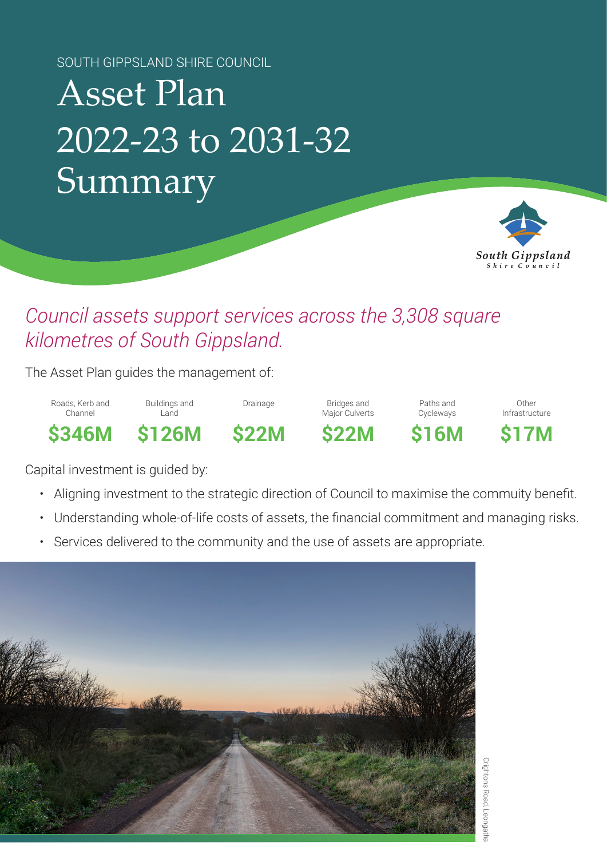SOUTH GIPPSLAND SHIRE COUNCIL

# Asset Plan 2022-23 to 2031-32 Summary



### *Council assets support services across the 3,308 square kilometres of South Gippsland.*

The Asset Plan guides the management of:

Roads, Kerb and Channel

Buildings and Land

Drainage Bridges and

Paths and Cycleways

Other Infrastructure

**\$346M \$126M \$22M \$22M \$16M \$17M**



Major Culverts

Capital investment is guided by:

- Aligning investment to the strategic direction of Council to maximise the commuity benefit.
- Understanding whole-of-life costs of assets, the financial commitment and managing risks.
- Services delivered to the community and the use of assets are appropriate.



Crightons Road, Leongatha Crightons Road, Leongatha